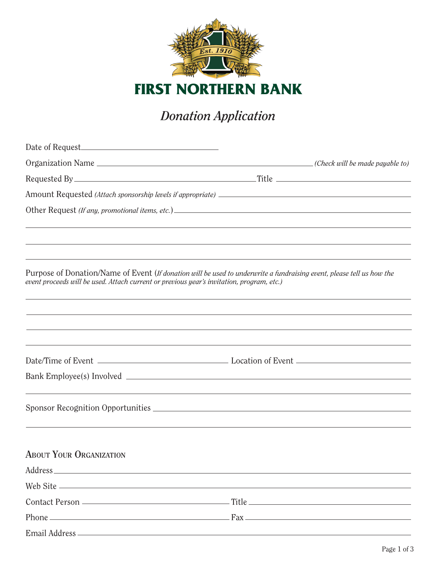

**FIRST NORTHERN BANK**

## *Donation Application*

| Date of Request                                                                                                                                                                                                                |  |
|--------------------------------------------------------------------------------------------------------------------------------------------------------------------------------------------------------------------------------|--|
|                                                                                                                                                                                                                                |  |
|                                                                                                                                                                                                                                |  |
|                                                                                                                                                                                                                                |  |
|                                                                                                                                                                                                                                |  |
|                                                                                                                                                                                                                                |  |
|                                                                                                                                                                                                                                |  |
| Purpose of Donation/Name of Event (If donation will be used to underwrite a fundraising event, please tell us how the<br>event proceeds will be used. Attach current or previous year's invitation, program, etc.)             |  |
|                                                                                                                                                                                                                                |  |
|                                                                                                                                                                                                                                |  |
|                                                                                                                                                                                                                                |  |
|                                                                                                                                                                                                                                |  |
|                                                                                                                                                                                                                                |  |
| <b>ABOUT YOUR ORGANIZATION</b>                                                                                                                                                                                                 |  |
|                                                                                                                                                                                                                                |  |
|                                                                                                                                                                                                                                |  |
| Contact Person entertainment and Title entertainment and Title entertainment and the contact Person entertainment and the contact Person entertainment and the contact Person entertainment and the contact Person entertainme |  |
| Phone $\overline{\phantom{a}}$ Phone $\overline{\phantom{a}}$ Phone $\overline{\phantom{a}}$                                                                                                                                   |  |
|                                                                                                                                                                                                                                |  |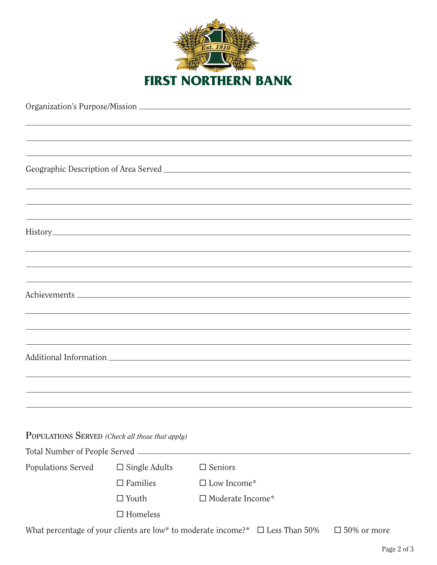

| POPULATIONS SERVED (Check all those that apply) |                         |                         |  |  |  |
|-------------------------------------------------|-------------------------|-------------------------|--|--|--|
| Total Number of People Served _______           |                         |                         |  |  |  |
| Populations Served                              | $\square$ Single Adults | $\square$ Seniors       |  |  |  |
|                                                 | $\square$ Families      | $\square$ Low Income*   |  |  |  |
|                                                 | $\Box$ Youth            | $\Box$ Moderate Income* |  |  |  |
|                                                 | $\Box$ Homeless         |                         |  |  |  |
|                                                 |                         |                         |  |  |  |

What percentage of your clients are low\* to moderate income?\*  $\Box$  Less Than 50%  $\Box$  50% or more